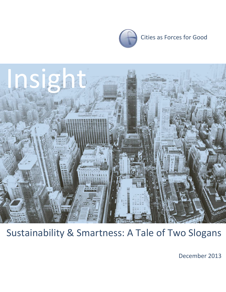



Sustainability & Smartness: A Tale of Two Slogans

December 2013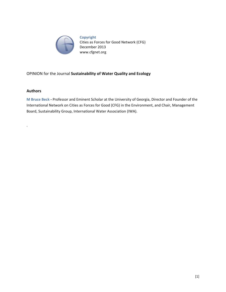

**Copyright** Cities as Forces for Good Network (CFG) December 2013 www.cfgnet.org

#### OPINION for the Journal **Sustainability of Water Quality and Ecology**

#### **Authors**

.

**M Bruce Beck -** Professor and Eminent Scholar at the University of Georgia, Director and Founder of the International Network on Cities as Forces for Good (CFG) in the Environment, and Chair, Management Board, Sustainability Group, International Water Association (IWA).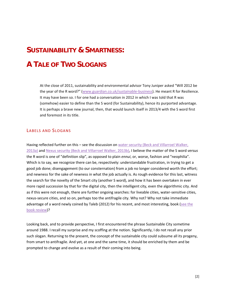# **SUSTAINABILITY & SMARTNESS:**

# **A TALE OF TWO SLOGANS**

At the close of 2011, sustainability and environmental advisor Tony Juniper asked "Will 2012 be the year of the R word?" ([www.guardian.co.uk/sustainable-business\)](http://www.guardian.co.uk/sustainable-business). He meant R for Resilience. It may have been so. I for one had a conversation in 2012 in which I was told that R was (somehow) easier to define than the S word (for Sustainability), hence its purported advantage. It is perhaps a brave new journal, then, that would launch itself in 2013/4 with the S word first and foremost in its title.

#### LABELS AND SLOGANS

Having reflected further on this – see the discussion on water security (Beck and Villarroel Walker, [2013a\)](http://cfgnet.org/archives/1400) an[d Nexus security \(Beck and Villarroel Walker, 2013b\),](http://cfgnet.org/archives/1406) I believe the matter of the S word *versus* the R word is one of "definition slip", as opposed to plain *ennui*, or, worse, fashion and "neophilia". Which is to say, we recognize there can be, respectively: understandable frustration, in trying to get a good job done; disengagement (to our consternation) from a job no longer considered worth the effort; and newness for the sake of newness in what the job actually is. As rough evidence for this last, witness the search for the novelty of the Smart city (another S word), and how it has been overtaken in ever more rapid succession by that for the digital city, then the intelligent city, even the algorithmic city. And as if this were not enough, there are further ongoing searches: for liveable cities, water-sensitive cities, nexus-secure cities, and so on, perhaps too the antifragile city. Why not? Why not take immediate advantage of a word newly coined by Taleb (2012) for his recent, and most interesting, book (see the book [review\)](http://cfgnet.org/archives/1329)?

Looking back, and to provide perspective, I first encountered the phrase Sustainable City sometime around 1988. I recall my surprise and my scoffing at the notion. Significantly, I do not recall any prior such slogan. Returning to the present, the concept of the sustainable city could subsume all its progeny, from smart to antifragile. And yet, at one and the same time, it should be enriched by them and be prompted to change and evolve as a result of their coming into being.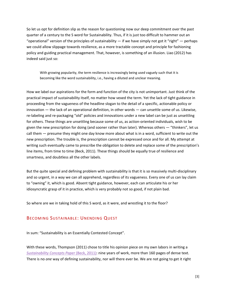So let us opt for definition slip as the reason for questioning now our deep commitment over the past quarter of a century to the S word for Sustainability. Thus, if it is just too difficult to hammer out an "operational" version of the principles of sustainability  $-$  if we have simply not got it "right"  $-$  perhaps we could allow slippage towards resilience, as a more tractable concept and principle for fashioning policy and guiding practical management. That, however, is something of an illusion. Liao (2012) has indeed said just so:

With growing popularity, the term resilience is increasingly being used vaguely such that it is becoming like the word sustainability, i.e., having a diluted and unclear meaning.

How we label our aspirations for the form and function of the city is not unimportant. Just think of the practical impact of sustainability itself, no matter how vexed the term. Yet the lack of tight guidance in proceeding from the vagueness of the headline slogan to the detail of a specific, actionable policy or innovation — the lack of an operational definition, in other words — can unsettle some of us. Likewise, re-labeling and re-packaging "old" policies and innovations under a new label can be just as unsettling for others. These things are unsettling because some of us, as action-oriented individuals, wish to be given the new prescription for doing (and sooner rather than later). Whereas others — "thinkers", let us call them — presume they might one day know more about what is in a word, sufficient to write out the new prescription. The trouble is, the prescription cannot be expressed once and for all. My attempt at writing such eventually came to prescribe the obligation to delete and replace some of the prescription's line items, from time to time (Beck, 2011). These things should be equally true of resilience and smartness, and doubtless all the other labels.

But the quite special and defining problem with sustainability is that it is so massively multi-disciplinary and so urgent, in a way we can all apprehend, regardless of its vagueness. Every one of us can lay claim to "owning" it, which is good. Absent tight guidance, however, each can articulate his or her idiosyncratic grasp of it in practice, which is very probably not so good, if not plain bad.

So where are we in taking hold of this S word, as it were, and wrestling it to the floor?

#### BECOMING SUSTAINABLE: UNENDING QUEST

In sum: "Sustainability is an Essentially Contested Concept".

With these words, Thompson (2011) chose to title his opinion piece on my own labors in writing a *[Sustainability Concepts Paper](http://cfgnet.org/archives/587)* (Beck, 2011): nine years of work, more than 160 pages of dense text. There is no *one* way of defining sustainability, nor will there ever be. We are not going to get it right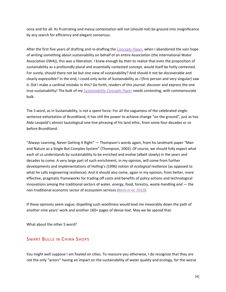once and for all. Its frustrating and messy contestation will not (should not) be ground into insignificance by any search for efficiency and elegant consensus.

After the first five years of drafting and re-drafting the *[Concepts Paper](http://cfgnet.org/archives/587)*, when I abandoned the vain hope of writing something about sustainability on behalf of an entire Association (the International Water Association (IWA)), this was a liberation. I knew enough by then to realize that even the proposition of sustainability as a profoundly plural and essentially contested concept, would itself be hotly contested. For surely, should there not be but one view of sustainability? And should it not be discoverable and clearly expressible? In the end, I could only write of Sustainability as *I* (first person and very singular) saw it. Did I make a cardinal mistake in this? Go forth, readers of this journal: discover and express the one true sustainability! The bulk of my *[Sustainability Concepts Paper](http://cfgnet.org/archives/587)* needs contesting, with commensurate bulk.

The S word, as in Sustainability, is *not* a spent force. For all the vagueness of the celebrated singlesentence exhortation of Brundtland, it has still the power to achieve change "on the ground", just as has Aldo Leopold's almost tautological one-line phrasing of his land ethic, from some four decades or so before Brundtland.

"Always Learning, Never Getting It Right" — Thompson's words again, from his landmark paper "Man and Nature as a Single But Complex System" (Thompson, 2002). Of course, we should fully expect what each of us understands by sustainability to be enriched and evolve (albeit slowly) in the years and decades to come. A very large part of such enrichment, in my opinion, will come from further developments and implementations of Holling's (1996) notion of *ecological* resilience (as opposed to what he calls engineering resilience). And it should also come, again in my opinion, from better, more effective, pragmatic frameworks for trading off costs and benefits of policy actions and technological innovations among the traditional sectors of water, energy, food, forestry, waste-handling *and* — the non-traditional economic sector of ecosystem services (Beck *et al*[, 2012\)](http://cfgnet.org/wp-content/uploads/downloads/2013/12/IWATrendsBookSusty.pdf).

If these opinions seem vague, dispelling such woolliness would lead me inexorably down the path of another nine years' work and another 160+ pages of dense text. May we be spared that.

What about the other S word?

## **SMART BULLS IN CHINA SHOPS**

You might well suppose I am fixated on cities. To reassure you otherwise, I do recognize that they are not the only "actors" having an impact on the sustainability of water quality and ecology, for the worse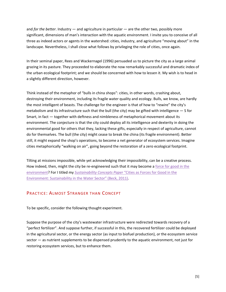and *for the better*. Industry — and agriculture in particular — are the other two, possibly more significant, dimensions of man's interaction with the aquatic environment. I invite you to conceive of all three as indeed actors or agents in the watershed: cities, industry, and agriculture "moving about" in the landscape. Nevertheless, I shall close what follows by privileging the role of cities, once again.

In their seminal paper, Rees and Wackernagel (1996) persuaded us to picture the city as a large animal grazing in its pasture. They proceeded to elaborate the now remarkably successful and dramatic index of the urban ecological footprint; and we should be concerned with how to lessen it. My wish is to head in a slightly different direction, however.

Think instead of the metaphor of "bulls in china shops": cities, in other words, crashing about, destroying their environment, including its fragile water quality and ecology. Bulls, we know, are hardly the most intelligent of beasts. The challenge for the engineer is that of how to "rewire" the city's metabolism and its infrastructure such that the bull (the city) may be gifted with intelligence  $-$  S for Smart, in fact — together with deftness and nimbleness of metaphorical movement about its environment. The conjecture is that the city could deploy all its intelligence and dexterity in doing the environmental good for others that they, lacking these gifts, especially in respect of agriculture, cannot do for themselves. The bull (the city) might cease to break the china (its fragile environment). Better still, it might expand the shop's operations, to become a net generator of ecosystem services. Imagine cities metaphorically "walking on air", going beyond the restoration of a zero ecological footprint.

Tilting at missions impossible, while yet acknowledging their impossibility, can be a creative process. How indeed, then, might the city be re-engineered such that it may become a [force for good in the](http://www.cfgnet.org/)  [environment?](http://www.cfgnet.org/) For I titled my *Sustainability Concepts Paper* ["Cities as Forces for Good in the](http://cfgnet.org/archives/587)  [Environment: Sustainability in the Water Sector" \(Beck, 2011\)](http://cfgnet.org/archives/587).

## PRACTICE: ALMOST STRANGER THAN CONCEPT

To be specific, consider the following thought experiment.

Suppose the purpose of the city's wastewater infrastructure were redirected towards recovery of a "perfect fertilizer". And suppose further, if successful in this, the recovered fertilizer could be deployed in the agricultural sector, or the energy sector (as input to biofuel production), *or* the ecosystem service sector — as nutrient supplements to be dispensed prudently to the aquatic environment, not just for restoring ecosystem services, but to enhance them.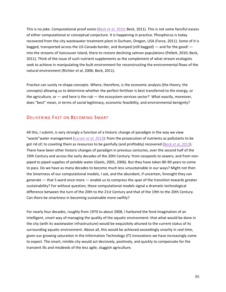This is no joke. Computational proof exists (Beck *et al*[, 2010;](http://cfgnet.org/archives/376) Beck, 2011). This is not some fanciful excess of either computational or conceptual conjecture. It is happening in practice. Phosphorus is today recovered from the city wastewater treatment plant in Durham, Oregon, USA (Force, 2011). Some of it is bagged, transported across the US-Canada border, and dumped (still bagged) — and for the good! into the streams of Vancouver Island, there to restore declining salmon populations (Pellett, 2010; Beck, 2011). Think of the issue of such nutrient supplements as the complement of what stream ecologists seek to achieve in manipulating the built environment for reconstructing the environmental flows of the natural environment (Richter *et al*, 2006; Beck, 2011).

Practice can surely re-shape concepts. Where, therefore, is the economic analysis (the theory; the concepts) allowing us to determine whether the perfect fertilizer is best transferred to the energy, or the agriculture, or  $-$  and here is the rub  $-$  the ecosystem services sector? What exactly, moreover, does "best" mean, in terms of social legitimacy, economic feasibility, and environmental benignity?

#### DELIVERING FAST ON BECOMING SMART

All this, I submit, is very strongly a function of a historic change of paradigm in the way we view "waste"water management ([Larsen](http://cfgnet.org/wp-content/uploads/downloads/2013/12/LarsenBook_Ch342013.pdf) *et al*, 2013): from the prosecution of nutrients as pollutants to be got rid of; to coveting them as resources to be gainfully (and profitably) recovered (Beck *et al*[, 2013\)](http://cfgnet.org/wp-content/uploads/downloads/2013/12/Beck-2013-Smarter-Urban-Metabolism.pdf). There have been other historic changes of paradigm in previous centuries, over the second half of the 19th Century and across the early decades of the 20th Century: from cesspools to sewers; and from nonpiped to piped supplies of potable water (Geels, 2005, 2006). But they have taken 80-90 years to come to pass. Do we have as many decades to become much less unsustainable in our ways? Might not then the Smartness of our computational models, I ask, and the abundant, if uncertain, foresight they can generate — that S word once more — enable us to compress the span of the transition towards greater sustainability? For without question, these computational models signal a dramatic technological difference between the turn of the 20th to the 21st Century and that of the 19th to the 20th Century. Can there be smartness in becoming sustainable more swiftly?

For nearly four decades, roughly from 1970 to about 2008, I harbored the fond imagination of an intelligent, smart way of managing the quality of the aquatic environment: that what would be done in the city (with its wastewater infrastructure) would be exquisitely attuned to the current status of its surrounding aquatic environment. Above all, this would be achieved exceedingly smartly in *real time*, given our growing saturation in the Information Technology (IT) innovations we have increasingly come to expect. The smart, nimble city would act decisively, positively, and quickly to compensate for the transient ills and misdeeds of the less agile, sluggish agriculture.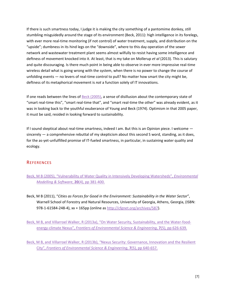If there is such smartness today, I judge it is making the city something of a pantomime donkey, still stumbling misguidedly around the stage of its environment (Beck, 2011): high intelligence in its forelegs, with ever more real-time monitoring (if not control) of water treatment, supply, and distribution on the "upside"; dumbness in its hind legs on the "downside", where to this day operation of the sewer network and wastewater treatment plant seems almost wilfully to resist having some intelligence and deftness of movement knocked into it. At least, that is my take on Mollerup *et al* (2013). This is salutary and quite discouraging. Is there much point in being able to observe in ever more impressive real-time wireless detail what is going wrong with the system, when there is no power to change the course of unfolding events — no levers of real-time control to pull? No matter how smart the city might be, deftness of its metaphorical movement is *not* a function solely of IT innovations.

If one reads between the lines of [Beck \(2005\),](http://cfgnet.org/wp-content/uploads/downloads/2013/12/Beck-2005-Vulnerability-of-water-quality-urban-watersheds.pdf) a sense of disillusion about the contemporary state of "smart real-time this", "smart real-time that", and "smart real-time the other" was already evident, as it was in looking back to the youthful exuberance of Young and Beck (1974). Optimism in that 2005 paper, it must be said, resided in looking forward to sustainability.

If I sound skeptical about real-time smartness, indeed I am. But this is an Opinion piece. I welcome sincerely  $-$  a comprehensive rebuttal of my skepticism about this second S word, standing, as it does, for the as-yet-unfulfilled promise of IT-fueled smartness, in particular, in sustaining water quality and ecology.

#### **REFERENCES**

- [Beck, M B \(2005\), "Vulnerability of Water Quality in Intensively Developing Watersheds",](http://cfgnet.org/wp-content/uploads/downloads/2013/12/Beck-2005-Vulnerability-of-water-quality-urban-watersheds.pdf) *Environmental [Modelling & Software](http://cfgnet.org/wp-content/uploads/downloads/2013/12/Beck-2005-Vulnerability-of-water-quality-urban-watersheds.pdf)*, **20**(4), pp 381-400.
- Beck, M B (2011), "*Cities as Forces for Good in the Environment: Sustainability in the Water Sector*", Warnell School of Forestry and Natural Resources, University of Georgia, Athens, Georgia, (ISBN: 978-1-61584-248-4), xx + 165pp (online as [http://cfgnet.org/archives/587\)](http://cfgnet.org/archives/587).

Beck, M B, and Villarroel Walker, R (2013[a\), "On Water Security, Sustainability, and the Water](http://cfgnet.org/archives/1400)-foodenergy-climate Nexus", *[Frontiers of Environmental Science & Engineering](http://cfgnet.org/archives/1400)*, **7**(5), pp 626-639.

Beck, M B, and Villarroel Walker, R (2013[b\), "Nexus Security: Governance, Innovation and the Resilient](http://cfgnet.org/archives/1406)  City", *[Frontiers of Environmental Science & Engineering](http://cfgnet.org/archives/1406)*, **7**(5), pp 640-657.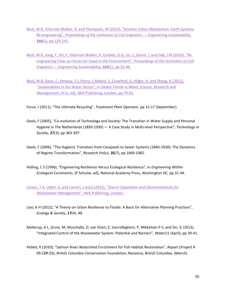- [Beck, M B, Villarroel Walker, R, and Thompson, M \(2013](http://cfgnet.org/wp-content/uploads/downloads/2013/12/Beck-2013-Smarter-Urban-Metabolism.pdf)), "Smarter Urban Metabolism: Earth Systems Re-engineering", *[Proceedings of the Institution of Civil Engineers](http://cfgnet.org/wp-content/uploads/downloads/2013/12/Beck-2013-Smarter-Urban-Metabolism.pdf) — Engineering Sustainability*, **166**[\(5\), pp 229-241.](http://cfgnet.org/wp-content/uploads/downloads/2013/12/Beck-2013-Smarter-Urban-Metabolism.pdf)
- [Beck, M B, Jiang, F, Shi, F, Villarroel Walker, R, Osidele, O O, Lin, Z, Demir, I, and](http://cfgnet.org/archives/376) Hall, J W (2010), "Re[engineering Cities as Forces for Good in the Environment",](http://cfgnet.org/archives/376) *Proceedings of the Institution of Civil Engineers — [Engineering Sustainability](http://cfgnet.org/archives/376)*, **163**(1), pp 31-46.
- [Beck, M B, Davis, C, Kenway, S J, Porro, J, Matsui, S, Crawford, G, Hilger, H, and Zhang, H \(2012\),](http://cfgnet.org/wp-content/uploads/downloads/2013/12/IWATrendsBookSusty.pdf)  "Sustainability in the Water Sector", in *[Global Trends in Water Science, Research and](http://cfgnet.org/wp-content/uploads/downloads/2013/12/IWATrendsBookSusty.pdf)  Management*[, \(H Li, ed\), IWA Publishing, London, pp 79-82.](http://cfgnet.org/wp-content/uploads/downloads/2013/12/IWATrendsBookSusty.pdf)
- Force, J (2011), "The Ultimate Recycling", *Treatment Plant Operator*, pp 12-17 (September).
- Geels, F (2005), "Co-evolution of Technology and Society: The Transition in Water Supply and Personal Hygiene in The Netherlands (1850-1930) — A Case Study in Multi-level Perspective", *Technology in Society*, **27**(3), pp 363-397.
- Geels, F (2006), "The Hygienic Transition from Cesspools to Sewer Systems (1840-1930): The Dynamics of Regime Transformation", *Research Policy*, **35**(7), pp 1069-1082.
- Holling, C S (1996), "Engineering Resilience Versus Ecological Resilience", in *Engineering Within Ecological Constraints*, (P Schulze, ed), National Academy Press, Washington DC, pp 31-44.
- [Larsen, T A, Udert, K, and Lienert, J \(eds\) \(2013](http://cfgnet.org/wp-content/uploads/downloads/2013/12/LarsenBook_Ch342013.pdf)), "*Source Separation and Decentralization for Wastewater Management*[", IWA Publishing, London.](http://cfgnet.org/wp-content/uploads/downloads/2013/12/LarsenBook_Ch342013.pdf)
- Liao, K H (2012), "A Theory on Urban Resilience to Floods: A Basis for Alternative Planning Practices", *Ecology & Society*, **17**(4), 48.
- Mollerup, A L, Grum, M, Muschalla, D, van Elzen, E, Vanrolleghem, P, Mikkelsen P S, and Sin, G (2013), "Integrated Control of the Wastewater System: Potential and Barriers", *Water21* (April), pp 39-41.
- Pellett, K (2010), "Salmon River Watershed Enrichment for Fish Habitat Restoration", *Report* (Project # 09.CBR.03), British Columbia Conservation Foundation, Nanaimo, British Columbia, (March).